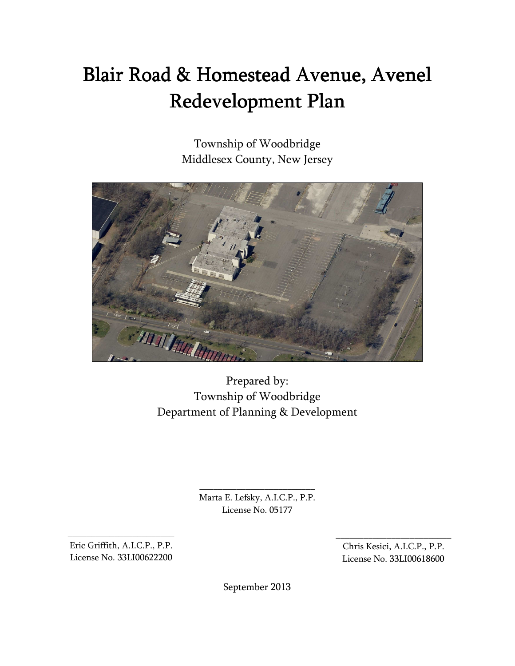# Blair Road & Homestead Avenue, Avenel Redevelopment Plan

Township of Woodbridge Middlesex County, New Jersey



Prepared by: Township of Woodbridge Department of Planning & Development

> Marta E. Lefsky, A.I.C.P., P.P. License No. 05177

\_\_\_\_\_\_\_\_\_\_\_\_\_\_\_\_\_\_\_\_\_\_\_\_\_

Eric Griffith, A.I.C.P., P.P. License No. 33LI00622200

\_\_\_\_\_\_\_\_\_\_\_\_\_\_\_\_\_\_\_\_\_\_\_

Chris Kesici, A.I.C.P., P.P. License No. 33LI00618600

\_\_\_\_\_\_\_\_\_\_\_\_\_\_\_\_\_\_\_\_\_\_\_\_\_

September 2013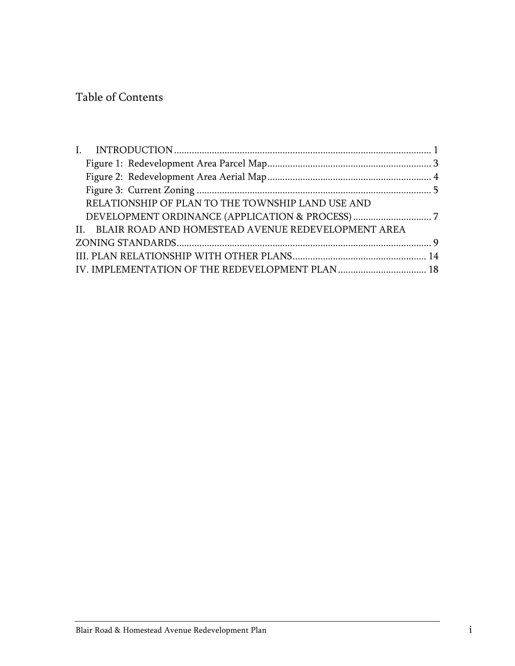# Table of Contents

|  | RELATIONSHIP OF PLAN TO THE TOWNSHIP LAND USE AND      |  |  |
|--|--------------------------------------------------------|--|--|
|  |                                                        |  |  |
|  | II. BLAIR ROAD AND HOMESTEAD AVENUE REDEVELOPMENT AREA |  |  |
|  |                                                        |  |  |
|  |                                                        |  |  |
|  | IV. IMPLEMENTATION OF THE REDEVELOPMENT PLAN  18       |  |  |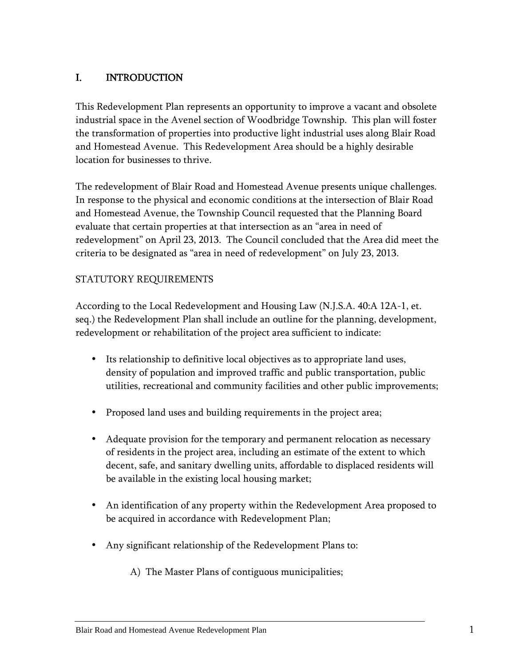# I. INTRODUCTION

This Redevelopment Plan represents an opportunity to improve a vacant and obsolete industrial space in the Avenel section of Woodbridge Township. This plan will foster the transformation of properties into productive light industrial uses along Blair Road and Homestead Avenue. This Redevelopment Area should be a highly desirable location for businesses to thrive.

The redevelopment of Blair Road and Homestead Avenue presents unique challenges. In response to the physical and economic conditions at the intersection of Blair Road and Homestead Avenue, the Township Council requested that the Planning Board evaluate that certain properties at that intersection as an "area in need of redevelopment" on April 23, 2013. The Council concluded that the Area did meet the criteria to be designated as "area in need of redevelopment" on July 23, 2013.

## STATUTORY REQUIREMENTS

According to the Local Redevelopment and Housing Law (N.J.S.A. 40:A 12A-1, et. seq.) the Redevelopment Plan shall include an outline for the planning, development, redevelopment or rehabilitation of the project area sufficient to indicate:

- Its relationship to definitive local objectives as to appropriate land uses, density of population and improved traffic and public transportation, public utilities, recreational and community facilities and other public improvements;
- Proposed land uses and building requirements in the project area;
- Adequate provision for the temporary and permanent relocation as necessary of residents in the project area, including an estimate of the extent to which decent, safe, and sanitary dwelling units, affordable to displaced residents will be available in the existing local housing market;
- An identification of any property within the Redevelopment Area proposed to be acquired in accordance with Redevelopment Plan;
- Any significant relationship of the Redevelopment Plans to:

A) The Master Plans of contiguous municipalities;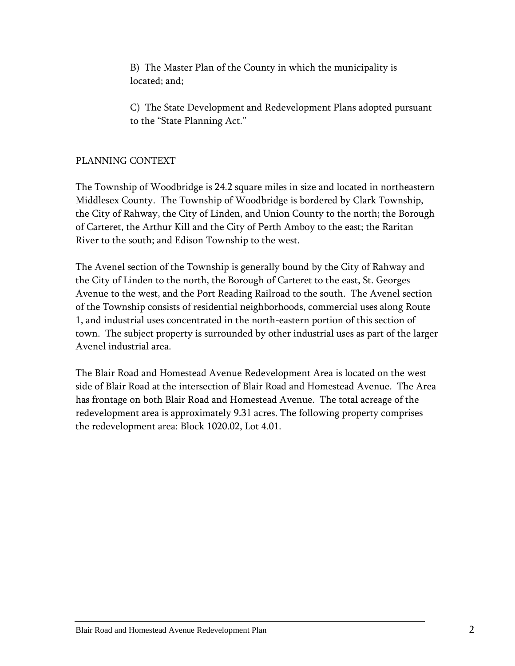B) The Master Plan of the County in which the municipality is located; and;

C) The State Development and Redevelopment Plans adopted pursuant to the "State Planning Act."

## PLANNING CONTEXT

The Township of Woodbridge is 24.2 square miles in size and located in northeastern Middlesex County. The Township of Woodbridge is bordered by Clark Township, the City of Rahway, the City of Linden, and Union County to the north; the Borough of Carteret, the Arthur Kill and the City of Perth Amboy to the east; the Raritan River to the south; and Edison Township to the west.

The Avenel section of the Township is generally bound by the City of Rahway and the City of Linden to the north, the Borough of Carteret to the east, St. Georges Avenue to the west, and the Port Reading Railroad to the south. The Avenel section of the Township consists of residential neighborhoods, commercial uses along Route 1, and industrial uses concentrated in the north-eastern portion of this section of town. The subject property is surrounded by other industrial uses as part of the larger Avenel industrial area.

The Blair Road and Homestead Avenue Redevelopment Area is located on the west side of Blair Road at the intersection of Blair Road and Homestead Avenue. The Area has frontage on both Blair Road and Homestead Avenue. The total acreage of the redevelopment area is approximately 9.31 acres. The following property comprises the redevelopment area: Block 1020.02, Lot 4.01.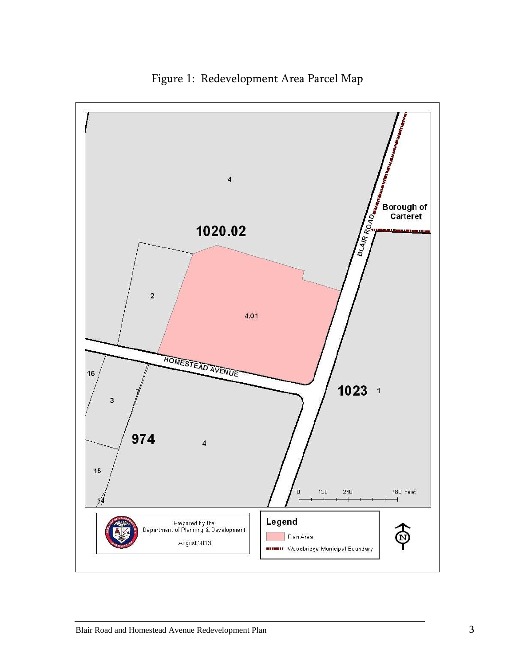

Figure 1: Redevelopment Area Parcel Map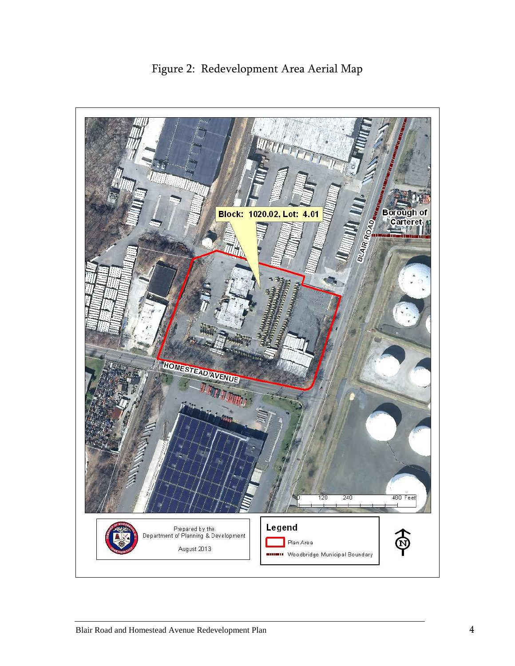

Figure 2: Redevelopment Area Aerial Map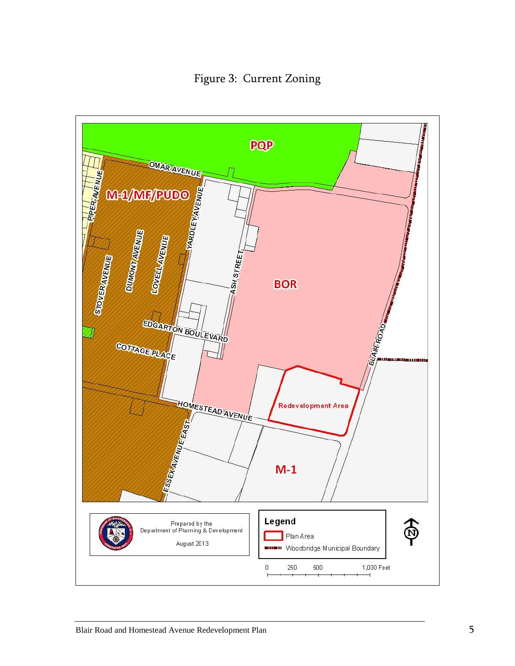Figure 3: Current Zoning

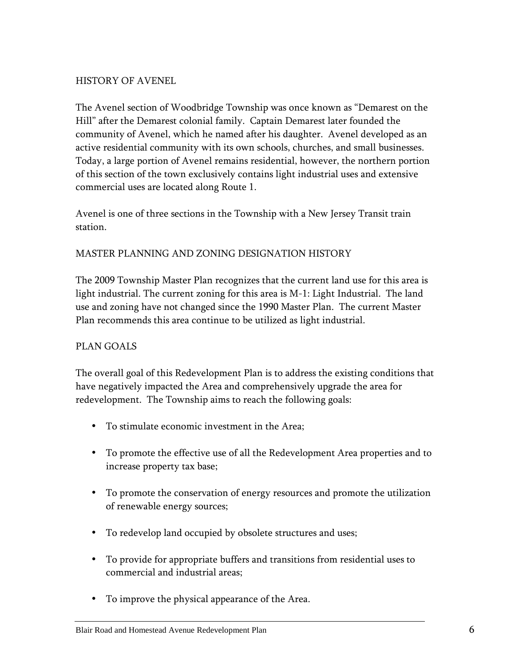#### HISTORY OF AVENEL

The Avenel section of Woodbridge Township was once known as "Demarest on the Hill" after the Demarest colonial family. Captain Demarest later founded the community of Avenel, which he named after his daughter. Avenel developed as an active residential community with its own schools, churches, and small businesses. Today, a large portion of Avenel remains residential, however, the northern portion of this section of the town exclusively contains light industrial uses and extensive commercial uses are located along Route 1.

Avenel is one of three sections in the Township with a New Jersey Transit train station.

#### MASTER PLANNING AND ZONING DESIGNATION HISTORY

The 2009 Township Master Plan recognizes that the current land use for this area is light industrial. The current zoning for this area is M-1: Light Industrial. The land use and zoning have not changed since the 1990 Master Plan. The current Master Plan recommends this area continue to be utilized as light industrial.

## PLAN GOALS

The overall goal of this Redevelopment Plan is to address the existing conditions that have negatively impacted the Area and comprehensively upgrade the area for redevelopment. The Township aims to reach the following goals:

- To stimulate economic investment in the Area;
- To promote the effective use of all the Redevelopment Area properties and to increase property tax base;
- To promote the conservation of energy resources and promote the utilization of renewable energy sources;
- To redevelop land occupied by obsolete structures and uses;
- To provide for appropriate buffers and transitions from residential uses to commercial and industrial areas;
- To improve the physical appearance of the Area.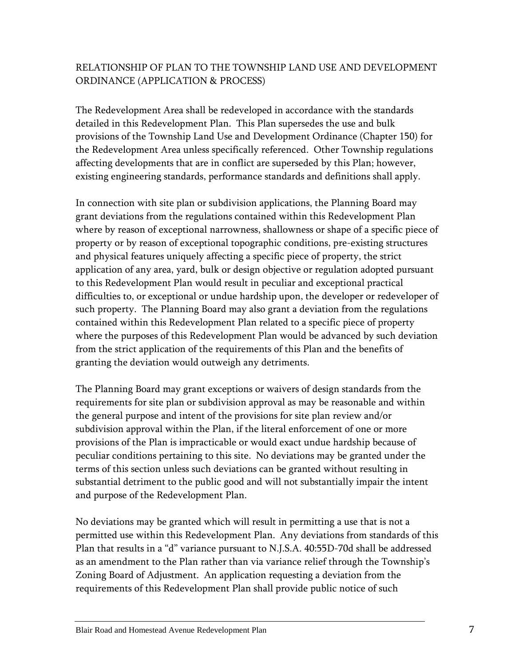# RELATIONSHIP OF PLAN TO THE TOWNSHIP LAND USE AND DEVELOPMENT ORDINANCE (APPLICATION & PROCESS)

The Redevelopment Area shall be redeveloped in accordance with the standards detailed in this Redevelopment Plan. This Plan supersedes the use and bulk provisions of the Township Land Use and Development Ordinance (Chapter 150) for the Redevelopment Area unless specifically referenced. Other Township regulations affecting developments that are in conflict are superseded by this Plan; however, existing engineering standards, performance standards and definitions shall apply.

In connection with site plan or subdivision applications, the Planning Board may grant deviations from the regulations contained within this Redevelopment Plan where by reason of exceptional narrowness, shallowness or shape of a specific piece of property or by reason of exceptional topographic conditions, pre-existing structures and physical features uniquely affecting a specific piece of property, the strict application of any area, yard, bulk or design objective or regulation adopted pursuant to this Redevelopment Plan would result in peculiar and exceptional practical difficulties to, or exceptional or undue hardship upon, the developer or redeveloper of such property. The Planning Board may also grant a deviation from the regulations contained within this Redevelopment Plan related to a specific piece of property where the purposes of this Redevelopment Plan would be advanced by such deviation from the strict application of the requirements of this Plan and the benefits of granting the deviation would outweigh any detriments.

The Planning Board may grant exceptions or waivers of design standards from the requirements for site plan or subdivision approval as may be reasonable and within the general purpose and intent of the provisions for site plan review and/or subdivision approval within the Plan, if the literal enforcement of one or more provisions of the Plan is impracticable or would exact undue hardship because of peculiar conditions pertaining to this site. No deviations may be granted under the terms of this section unless such deviations can be granted without resulting in substantial detriment to the public good and will not substantially impair the intent and purpose of the Redevelopment Plan.

No deviations may be granted which will result in permitting a use that is not a permitted use within this Redevelopment Plan. Any deviations from standards of this Plan that results in a "d" variance pursuant to N.J.S.A. 40:55D-70d shall be addressed as an amendment to the Plan rather than via variance relief through the Township's Zoning Board of Adjustment. An application requesting a deviation from the requirements of this Redevelopment Plan shall provide public notice of such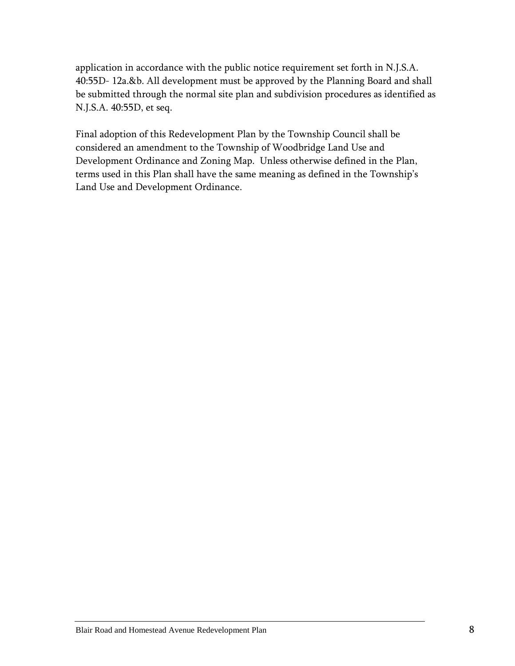application in accordance with the public notice requirement set forth in N.J.S.A. 40:55D- 12a.&b. All development must be approved by the Planning Board and shall be submitted through the normal site plan and subdivision procedures as identified as N.J.S.A. 40:55D, et seq.

Final adoption of this Redevelopment Plan by the Township Council shall be considered an amendment to the Township of Woodbridge Land Use and Development Ordinance and Zoning Map. Unless otherwise defined in the Plan, terms used in this Plan shall have the same meaning as defined in the Township's Land Use and Development Ordinance.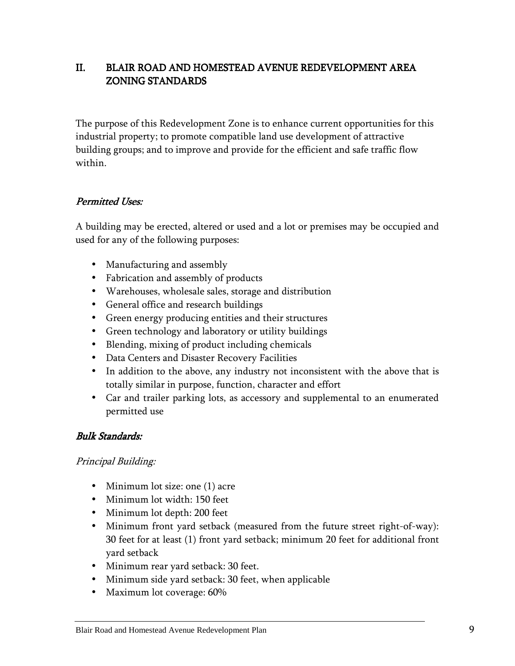# II. BLAIR ROAD AND HOMESTEAD AVENUE REDEVELOPMENT AREA ZONING STANDARDS

The purpose of this Redevelopment Zone is to enhance current opportunities for this industrial property; to promote compatible land use development of attractive building groups; and to improve and provide for the efficient and safe traffic flow within.

## Permitted Uses:

A building may be erected, altered or used and a lot or premises may be occupied and used for any of the following purposes:

- Manufacturing and assembly
- Fabrication and assembly of products
- Warehouses, wholesale sales, storage and distribution
- General office and research buildings
- Green energy producing entities and their structures
- Green technology and laboratory or utility buildings
- Blending, mixing of product including chemicals
- Data Centers and Disaster Recovery Facilities
- In addition to the above, any industry not inconsistent with the above that is totally similar in purpose, function, character and effort
- Car and trailer parking lots, as accessory and supplemental to an enumerated permitted use

## Bulk Standards: Bulk Standards:

## Principal Building:

- Minimum lot size: one (1) acre
- Minimum lot width: 150 feet
- Minimum lot depth: 200 feet
- Minimum front yard setback (measured from the future street right-of-way): 30 feet for at least (1) front yard setback; minimum 20 feet for additional front yard setback
- Minimum rear yard setback: 30 feet.
- Minimum side yard setback: 30 feet, when applicable
- Maximum lot coverage: 60%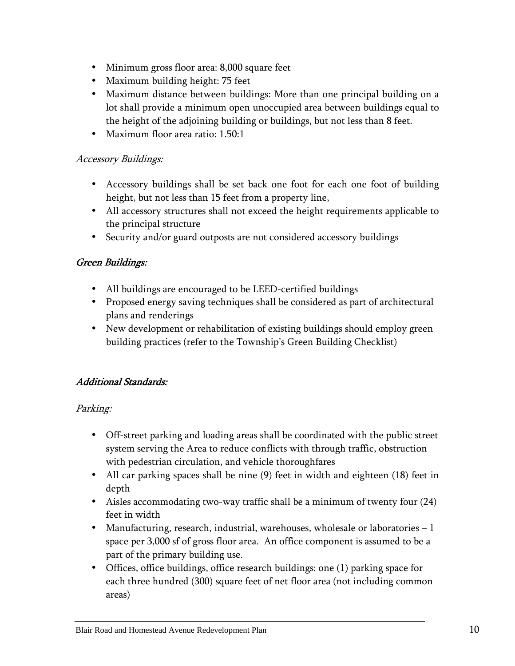- Minimum gross floor area: 8,000 square feet
- Maximum building height: 75 feet
- Maximum distance between buildings: More than one principal building on a lot shall provide a minimum open unoccupied area between buildings equal to the height of the adjoining building or buildings, but not less than 8 feet.
- Maximum floor area ratio: 1.50:1

## Accessory Buildings:

- Accessory buildings shall be set back one foot for each one foot of building height, but not less than 15 feet from a property line,
- All accessory structures shall not exceed the height requirements applicable to the principal structure
- Security and/or guard outposts are not considered accessory buildings

## Green Buildings: Green Buildings:

- All buildings are encouraged to be LEED-certified buildings
- Proposed energy saving techniques shall be considered as part of architectural plans and renderings
- New development or rehabilitation of existing buildings should employ green building practices (refer to the Township's Green Building Checklist)

# Additional Standards:

## Parking:

- Off-street parking and loading areas shall be coordinated with the public street system serving the Area to reduce conflicts with through traffic, obstruction with pedestrian circulation, and vehicle thoroughfares
- All car parking spaces shall be nine (9) feet in width and eighteen (18) feet in depth
- Aisles accommodating two-way traffic shall be a minimum of twenty four (24) feet in width
- Manufacturing, research, industrial, warehouses, wholesale or laboratories 1 space per 3,000 sf of gross floor area. An office component is assumed to be a part of the primary building use.
- Offices, office buildings, office research buildings: one (1) parking space for each three hundred (300) square feet of net floor area (not including common areas)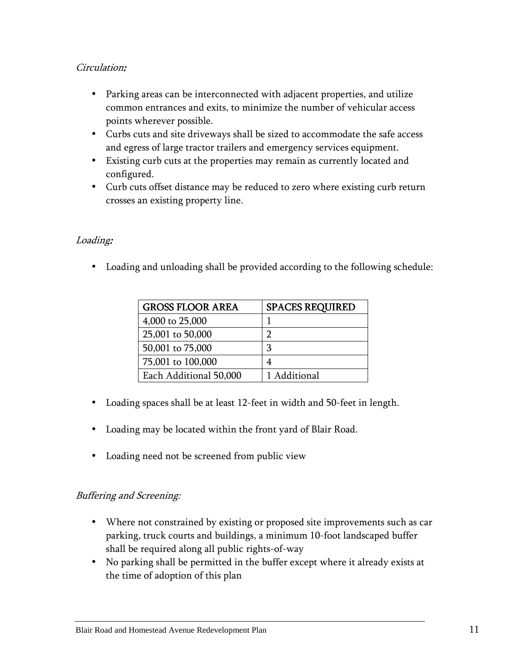## Circulation:

- Parking areas can be interconnected with adjacent properties, and utilize common entrances and exits, to minimize the number of vehicular access points wherever possible.
- Curbs cuts and site driveways shall be sized to accommodate the safe access and egress of large tractor trailers and emergency services equipment.
- Existing curb cuts at the properties may remain as currently located and configured.
- Curb cuts offset distance may be reduced to zero where existing curb return crosses an existing property line.

## Loading:

• Loading and unloading shall be provided according to the following schedule:

| <b>GROSS FLOOR AREA</b> | <b>SPACES REQUIRED</b> |
|-------------------------|------------------------|
| 4,000 to 25,000         |                        |
| 25,001 to 50,000        | ר                      |
| 50,001 to 75,000        | 3                      |
| 75,001 to 100,000       | 4                      |
| Each Additional 50,000  | 1 Additional           |

- Loading spaces shall be at least 12-feet in width and 50-feet in length.
- Loading may be located within the front yard of Blair Road.
- Loading need not be screened from public view

## Buffering and Screening:

- Where not constrained by existing or proposed site improvements such as car parking, truck courts and buildings, a minimum 10-foot landscaped buffer shall be required along all public rights-of-way
- No parking shall be permitted in the buffer except where it already exists at the time of adoption of this plan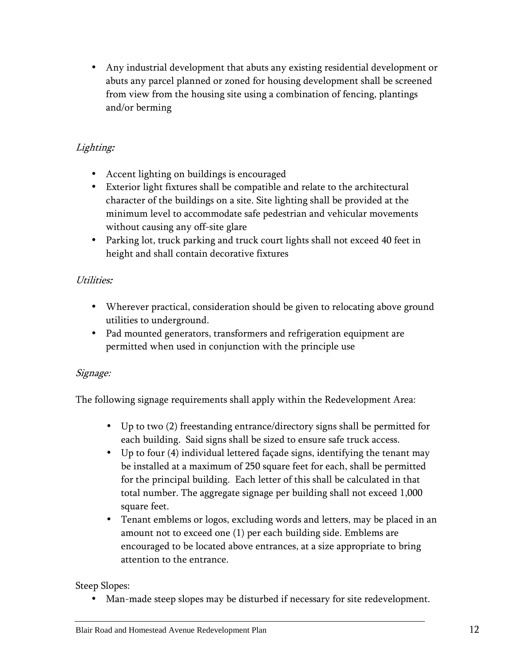• Any industrial development that abuts any existing residential development or abuts any parcel planned or zoned for housing development shall be screened from view from the housing site using a combination of fencing, plantings and/or berming

# Lighting:

- Accent lighting on buildings is encouraged
- Exterior light fixtures shall be compatible and relate to the architectural character of the buildings on a site. Site lighting shall be provided at the minimum level to accommodate safe pedestrian and vehicular movements without causing any off-site glare
- Parking lot, truck parking and truck court lights shall not exceed 40 feet in height and shall contain decorative fixtures

# Utilities:

- Wherever practical, consideration should be given to relocating above ground utilities to underground.
- Pad mounted generators, transformers and refrigeration equipment are permitted when used in conjunction with the principle use

# Signage:

The following signage requirements shall apply within the Redevelopment Area:

- Up to two (2) freestanding entrance/directory signs shall be permitted for each building. Said signs shall be sized to ensure safe truck access.
- Up to four (4) individual lettered façade signs, identifying the tenant may be installed at a maximum of 250 square feet for each, shall be permitted for the principal building. Each letter of this shall be calculated in that total number. The aggregate signage per building shall not exceed 1,000 square feet.
- Tenant emblems or logos, excluding words and letters, may be placed in an amount not to exceed one (1) per each building side. Emblems are encouraged to be located above entrances, at a size appropriate to bring attention to the entrance.

# Steep Slopes:

Man-made steep slopes may be disturbed if necessary for site redevelopment.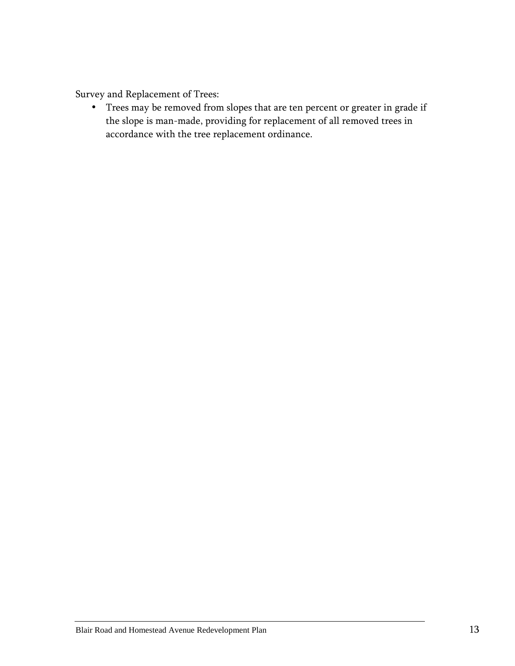Survey and Replacement of Trees:

• Trees may be removed from slopes that are ten percent or greater in grade if the slope is man-made, providing for replacement of all removed trees in accordance with the tree replacement ordinance.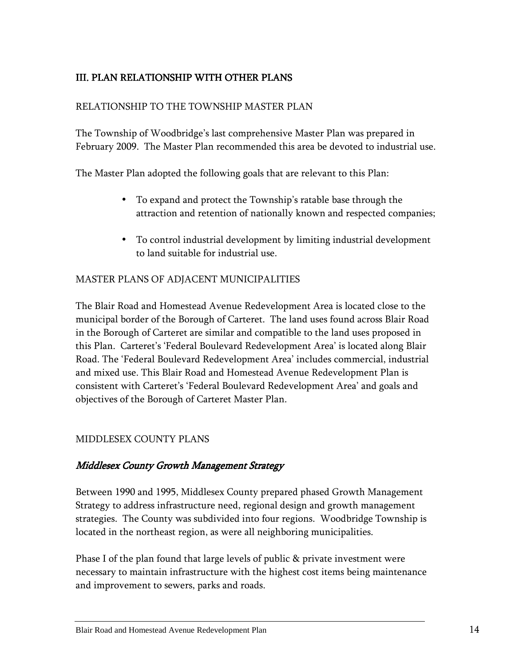# III. PLAN RELATIONSHIP WITH OTHER PLANS

#### RELATIONSHIP TO THE TOWNSHIP MASTER PLAN

The Township of Woodbridge's last comprehensive Master Plan was prepared in February 2009. The Master Plan recommended this area be devoted to industrial use.

The Master Plan adopted the following goals that are relevant to this Plan:

- To expand and protect the Township's ratable base through the attraction and retention of nationally known and respected companies;
- To control industrial development by limiting industrial development to land suitable for industrial use.

#### MASTER PLANS OF ADJACENT MUNICIPALITIES

The Blair Road and Homestead Avenue Redevelopment Area is located close to the municipal border of the Borough of Carteret. The land uses found across Blair Road in the Borough of Carteret are similar and compatible to the land uses proposed in this Plan. Carteret's 'Federal Boulevard Redevelopment Area' is located along Blair Road. The 'Federal Boulevard Redevelopment Area' includes commercial, industrial and mixed use. This Blair Road and Homestead Avenue Redevelopment Plan is consistent with Carteret's 'Federal Boulevard Redevelopment Area' and goals and objectives of the Borough of Carteret Master Plan.

#### MIDDLESEX COUNTY PLANS

#### Middlesex County Growth Management Strategy

Between 1990 and 1995, Middlesex County prepared phased Growth Management Strategy to address infrastructure need, regional design and growth management strategies. The County was subdivided into four regions. Woodbridge Township is located in the northeast region, as were all neighboring municipalities.

Phase I of the plan found that large levels of public & private investment were necessary to maintain infrastructure with the highest cost items being maintenance and improvement to sewers, parks and roads.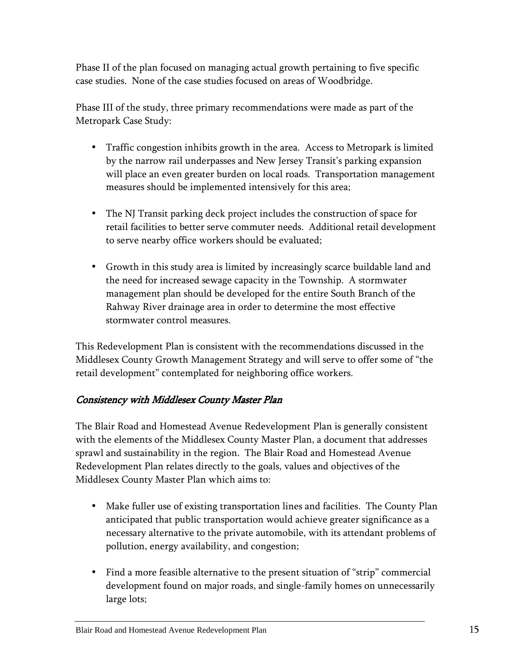Phase II of the plan focused on managing actual growth pertaining to five specific case studies. None of the case studies focused on areas of Woodbridge.

Phase III of the study, three primary recommendations were made as part of the Metropark Case Study:

- Traffic congestion inhibits growth in the area. Access to Metropark is limited by the narrow rail underpasses and New Jersey Transit's parking expansion will place an even greater burden on local roads. Transportation management measures should be implemented intensively for this area;
- The NJ Transit parking deck project includes the construction of space for retail facilities to better serve commuter needs. Additional retail development to serve nearby office workers should be evaluated;
- Growth in this study area is limited by increasingly scarce buildable land and the need for increased sewage capacity in the Township. A stormwater management plan should be developed for the entire South Branch of the Rahway River drainage area in order to determine the most effective stormwater control measures.

This Redevelopment Plan is consistent with the recommendations discussed in the Middlesex County Growth Management Strategy and will serve to offer some of "the retail development" contemplated for neighboring office workers.

## Consistency with Middlesex County Master Plan

The Blair Road and Homestead Avenue Redevelopment Plan is generally consistent with the elements of the Middlesex County Master Plan, a document that addresses sprawl and sustainability in the region. The Blair Road and Homestead Avenue Redevelopment Plan relates directly to the goals, values and objectives of the Middlesex County Master Plan which aims to:

- Make fuller use of existing transportation lines and facilities. The County Plan anticipated that public transportation would achieve greater significance as a necessary alternative to the private automobile, with its attendant problems of pollution, energy availability, and congestion;
- Find a more feasible alternative to the present situation of "strip" commercial development found on major roads, and single-family homes on unnecessarily large lots;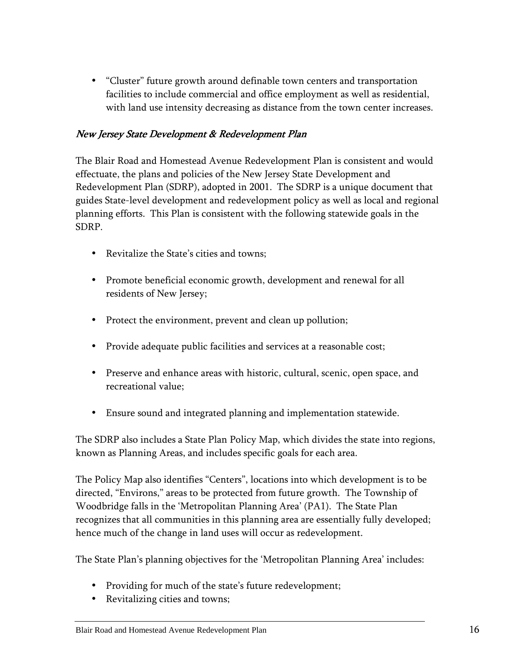• "Cluster" future growth around definable town centers and transportation facilities to include commercial and office employment as well as residential, with land use intensity decreasing as distance from the town center increases.

## New Jersey State Development & Redevelopment Plan

The Blair Road and Homestead Avenue Redevelopment Plan is consistent and would effectuate, the plans and policies of the New Jersey State Development and Redevelopment Plan (SDRP), adopted in 2001. The SDRP is a unique document that guides State-level development and redevelopment policy as well as local and regional planning efforts. This Plan is consistent with the following statewide goals in the SDRP.

- Revitalize the State's cities and towns;
- Promote beneficial economic growth, development and renewal for all residents of New Jersey;
- Protect the environment, prevent and clean up pollution;
- Provide adequate public facilities and services at a reasonable cost;
- Preserve and enhance areas with historic, cultural, scenic, open space, and recreational value;
- Ensure sound and integrated planning and implementation statewide.

The SDRP also includes a State Plan Policy Map, which divides the state into regions, known as Planning Areas, and includes specific goals for each area.

The Policy Map also identifies "Centers", locations into which development is to be directed, "Environs," areas to be protected from future growth. The Township of Woodbridge falls in the 'Metropolitan Planning Area' (PA1). The State Plan recognizes that all communities in this planning area are essentially fully developed; hence much of the change in land uses will occur as redevelopment.

The State Plan's planning objectives for the 'Metropolitan Planning Area' includes:

- Providing for much of the state's future redevelopment;
- Revitalizing cities and towns;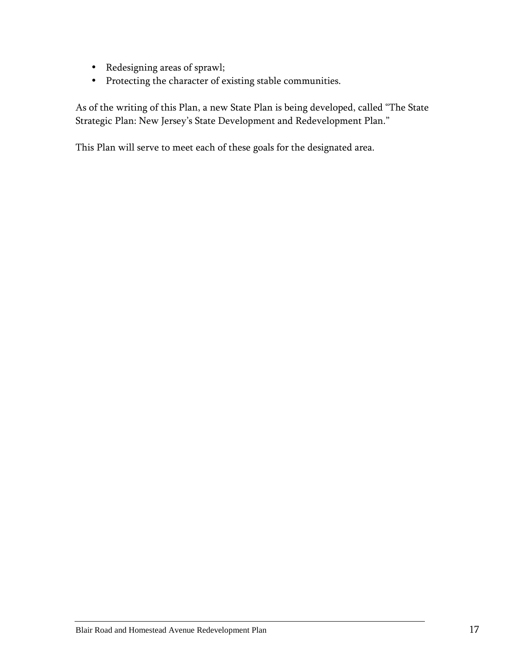- Redesigning areas of sprawl;
- Protecting the character of existing stable communities.

As of the writing of this Plan, a new State Plan is being developed, called "The State Strategic Plan: New Jersey's State Development and Redevelopment Plan."

This Plan will serve to meet each of these goals for the designated area.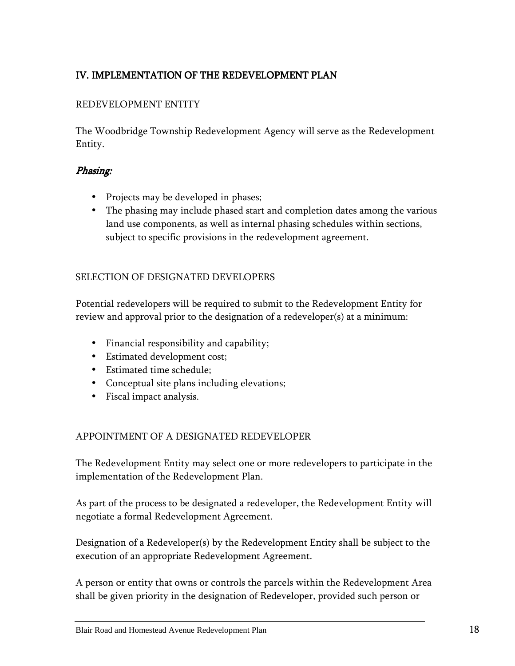# IV. IMPLEMENTATION OF THE REDEVELOPMENT PLAN

## REDEVELOPMENT ENTITY

The Woodbridge Township Redevelopment Agency will serve as the Redevelopment Entity.

#### Phasing: Phasing:

- Projects may be developed in phases;
- The phasing may include phased start and completion dates among the various land use components, as well as internal phasing schedules within sections, subject to specific provisions in the redevelopment agreement.

#### SELECTION OF DESIGNATED DEVELOPERS

Potential redevelopers will be required to submit to the Redevelopment Entity for review and approval prior to the designation of a redeveloper(s) at a minimum:

- Financial responsibility and capability;
- Estimated development cost;
- Estimated time schedule;
- Conceptual site plans including elevations;
- Fiscal impact analysis.

#### APPOINTMENT OF A DESIGNATED REDEVELOPER

The Redevelopment Entity may select one or more redevelopers to participate in the implementation of the Redevelopment Plan.

As part of the process to be designated a redeveloper, the Redevelopment Entity will negotiate a formal Redevelopment Agreement.

Designation of a Redeveloper(s) by the Redevelopment Entity shall be subject to the execution of an appropriate Redevelopment Agreement.

A person or entity that owns or controls the parcels within the Redevelopment Area shall be given priority in the designation of Redeveloper, provided such person or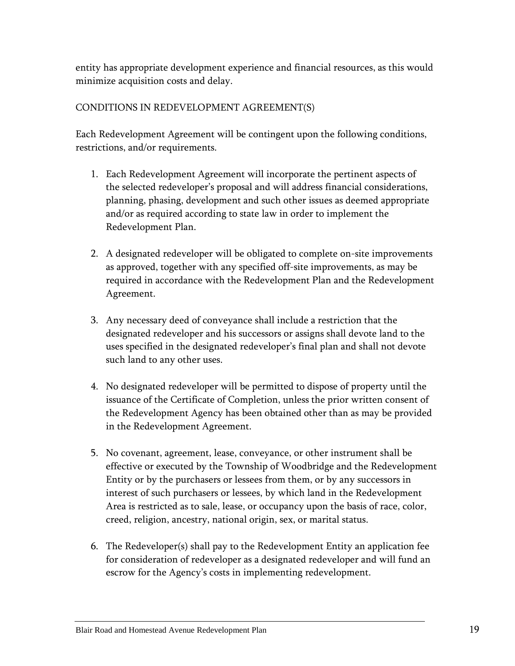entity has appropriate development experience and financial resources, as this would minimize acquisition costs and delay.

## CONDITIONS IN REDEVELOPMENT AGREEMENT(S)

Each Redevelopment Agreement will be contingent upon the following conditions, restrictions, and/or requirements.

- 1. Each Redevelopment Agreement will incorporate the pertinent aspects of the selected redeveloper's proposal and will address financial considerations, planning, phasing, development and such other issues as deemed appropriate and/or as required according to state law in order to implement the Redevelopment Plan.
- 2. A designated redeveloper will be obligated to complete on-site improvements as approved, together with any specified off-site improvements, as may be required in accordance with the Redevelopment Plan and the Redevelopment Agreement.
- 3. Any necessary deed of conveyance shall include a restriction that the designated redeveloper and his successors or assigns shall devote land to the uses specified in the designated redeveloper's final plan and shall not devote such land to any other uses.
- 4. No designated redeveloper will be permitted to dispose of property until the issuance of the Certificate of Completion, unless the prior written consent of the Redevelopment Agency has been obtained other than as may be provided in the Redevelopment Agreement.
- 5. No covenant, agreement, lease, conveyance, or other instrument shall be effective or executed by the Township of Woodbridge and the Redevelopment Entity or by the purchasers or lessees from them, or by any successors in interest of such purchasers or lessees, by which land in the Redevelopment Area is restricted as to sale, lease, or occupancy upon the basis of race, color, creed, religion, ancestry, national origin, sex, or marital status.
- 6. The Redeveloper(s) shall pay to the Redevelopment Entity an application fee for consideration of redeveloper as a designated redeveloper and will fund an escrow for the Agency's costs in implementing redevelopment.